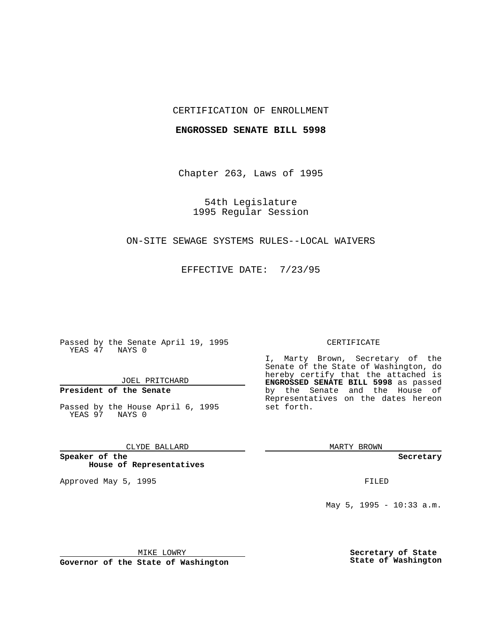## CERTIFICATION OF ENROLLMENT

#### **ENGROSSED SENATE BILL 5998**

Chapter 263, Laws of 1995

54th Legislature 1995 Regular Session

## ON-SITE SEWAGE SYSTEMS RULES--LOCAL WAIVERS

EFFECTIVE DATE: 7/23/95

Passed by the Senate April 19, 1995 YEAS 47 NAYS 0

JOEL PRITCHARD

# **President of the Senate**

Passed by the House April 6, 1995 YEAS 97 NAYS 0

CLYDE BALLARD

**Speaker of the House of Representatives**

Approved May 5, 1995 **FILED** 

#### CERTIFICATE

I, Marty Brown, Secretary of the Senate of the State of Washington, do hereby certify that the attached is **ENGROSSED SENATE BILL 5998** as passed by the Senate and the House of Representatives on the dates hereon set forth.

MARTY BROWN

**Secretary**

May 5, 1995 - 10:33 a.m.

MIKE LOWRY

**Governor of the State of Washington**

**Secretary of State State of Washington**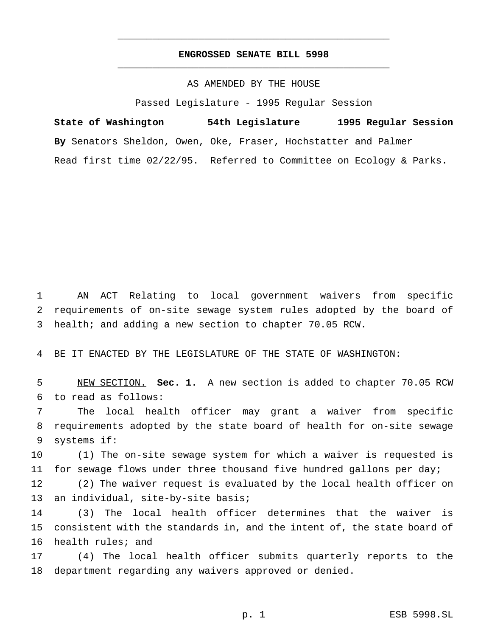## **ENGROSSED SENATE BILL 5998** \_\_\_\_\_\_\_\_\_\_\_\_\_\_\_\_\_\_\_\_\_\_\_\_\_\_\_\_\_\_\_\_\_\_\_\_\_\_\_\_\_\_\_\_\_\_\_

\_\_\_\_\_\_\_\_\_\_\_\_\_\_\_\_\_\_\_\_\_\_\_\_\_\_\_\_\_\_\_\_\_\_\_\_\_\_\_\_\_\_\_\_\_\_\_

## AS AMENDED BY THE HOUSE

Passed Legislature - 1995 Regular Session

**State of Washington 54th Legislature 1995 Regular Session By** Senators Sheldon, Owen, Oke, Fraser, Hochstatter and Palmer Read first time 02/22/95. Referred to Committee on Ecology & Parks.

 AN ACT Relating to local government waivers from specific requirements of on-site sewage system rules adopted by the board of health; and adding a new section to chapter 70.05 RCW.

BE IT ENACTED BY THE LEGISLATURE OF THE STATE OF WASHINGTON:

 NEW SECTION. **Sec. 1.** A new section is added to chapter 70.05 RCW to read as follows:

 The local health officer may grant a waiver from specific requirements adopted by the state board of health for on-site sewage systems if:

 (1) The on-site sewage system for which a waiver is requested is for sewage flows under three thousand five hundred gallons per day;

 (2) The waiver request is evaluated by the local health officer on 13 an individual, site-by-site basis;

 (3) The local health officer determines that the waiver is consistent with the standards in, and the intent of, the state board of health rules; and

 (4) The local health officer submits quarterly reports to the department regarding any waivers approved or denied.